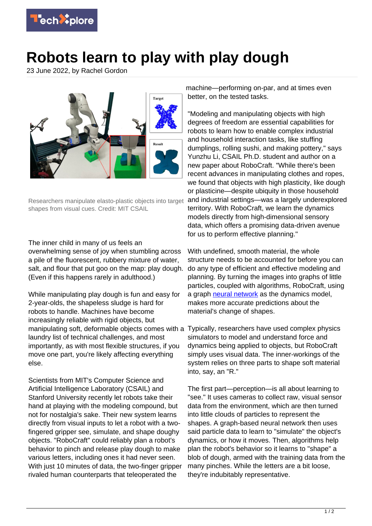

## **Robots learn to play with play dough**

23 June 2022, by Rachel Gordon



Researchers manipulate elasto-plastic objects into target shapes from visual cues. Credit: MIT CSAIL

The inner child in many of us feels an overwhelming sense of joy when stumbling across a pile of the fluorescent, rubbery mixture of water, salt, and flour that put goo on the map: play dough. (Even if this happens rarely in adulthood.)

While manipulating play dough is fun and easy for 2-year-olds, the shapeless sludge is hard for robots to handle. Machines have become increasingly reliable with rigid objects, but manipulating soft, deformable objects comes with a Typically, researchers have used complex physics laundry list of technical challenges, and most importantly, as with most flexible structures, if you move one part, you're likely affecting everything else.

Scientists from MIT's Computer Science and Artificial Intelligence Laboratory (CSAIL) and Stanford University recently let robots take their hand at playing with the modeling compound, but not for nostalgia's sake. Their new system learns directly from visual inputs to let a robot with a twofingered gripper see, simulate, and shape doughy objects. "RoboCraft" could reliably plan a robot's behavior to pinch and release play dough to make various letters, including ones it had never seen. With just 10 minutes of data, the two-finger gripper rivaled human counterparts that teleoperated the

machine—performing on-par, and at times even better, on the tested tasks.

"Modeling and manipulating objects with high degrees of freedom are essential capabilities for robots to learn how to enable complex industrial and household interaction tasks, like stuffing dumplings, rolling sushi, and making pottery," says Yunzhu Li, CSAIL Ph.D. student and author on a new paper about RoboCraft. "While there's been recent advances in manipulating clothes and ropes, we found that objects with high plasticity, like dough or plasticine—despite ubiquity in those household and industrial settings—was a largely underexplored territory. With RoboCraft, we learn the dynamics models directly from high-dimensional sensory data, which offers a promising data-driven avenue for us to perform effective planning."

With undefined, smooth material, the whole structure needs to be accounted for before you can do any type of efficient and effective modeling and planning. By turning the images into graphs of little particles, coupled with algorithms, RoboCraft, using a graph [neural network](https://techxplore.com/tags/neural+network/) as the dynamics model, makes more accurate predictions about the material's change of shapes.

simulators to model and understand force and dynamics being applied to objects, but RoboCraft simply uses visual data. The inner-workings of the system relies on three parts to shape soft material into, say, an "R."

The first part—perception—is all about learning to "see." It uses cameras to collect raw, visual sensor data from the environment, which are then turned into little clouds of particles to represent the shapes. A graph-based neural network then uses said particle data to learn to "simulate" the object's dynamics, or how it moves. Then, algorithms help plan the robot's behavior so it learns to "shape" a blob of dough, armed with the training data from the many pinches. While the letters are a bit loose, they're indubitably representative.